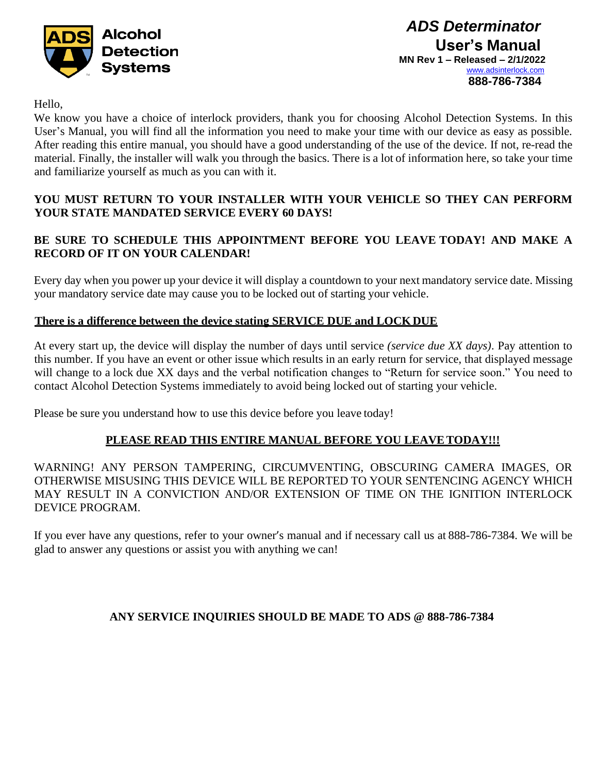

*ADS Determinator* **User's Manual MN Rev 1 – Released – 2/1/2022** [www.adsinterlock.com](http://www.adsinterlock.com/) **888-786-7384**

Hello,

We know you have a choice of interlock providers, thank you for choosing Alcohol Detection Systems. In this User's Manual, you will find all the information you need to make your time with our device as easy as possible. After reading this entire manual, you should have a good understanding of the use of the device. If not, re-read the material. Finally, the installer will walk you through the basics. There is a lot of information here, so take your time and familiarize yourself as much as you can with it.

## **YOU MUST RETURN TO YOUR INSTALLER WITH YOUR VEHICLE SO THEY CAN PERFORM YOUR STATE MANDATED SERVICE EVERY 60 DAYS!**

# **BE SURE TO SCHEDULE THIS APPOINTMENT BEFORE YOU LEAVE TODAY! AND MAKE A RECORD OF IT ON YOUR CALENDAR!**

Every day when you power up your device it will display a countdown to your next mandatory service date. Missing your mandatory service date may cause you to be locked out of starting your vehicle.

## **There is a difference between the device stating SERVICE DUE and LOCKDUE**

At every start up, the device will display the number of days until service *(service due XX days)*. Pay attention to this number. If you have an event or other issue which results in an early return for service, that displayed message will change to a lock due XX days and the verbal notification changes to "Return for service soon." You need to contact Alcohol Detection Systems immediately to avoid being locked out of starting your vehicle.

Please be sure you understand how to use this device before you leave today!

## **PLEASE READ THIS ENTIRE MANUAL BEFORE YOU LEAVETODAY!!!**

WARNING! ANY PERSON TAMPERING, CIRCUMVENTING, OBSCURING CAMERA IMAGES, OR OTHERWISE MISUSING THIS DEVICE WILL BE REPORTED TO YOUR SENTENCING AGENCY WHICH MAY RESULT IN A CONVICTION AND/OR EXTENSION OF TIME ON THE IGNITION INTERLOCK DEVICE PROGRAM.

If you ever have any questions, refer to your owner's manual and if necessary call us at 888-786-7384. We will be glad to answer any questions or assist you with anything we can!

# **ANY SERVICE INQUIRIES SHOULD BE MADE TO ADS @ 888-786-7384**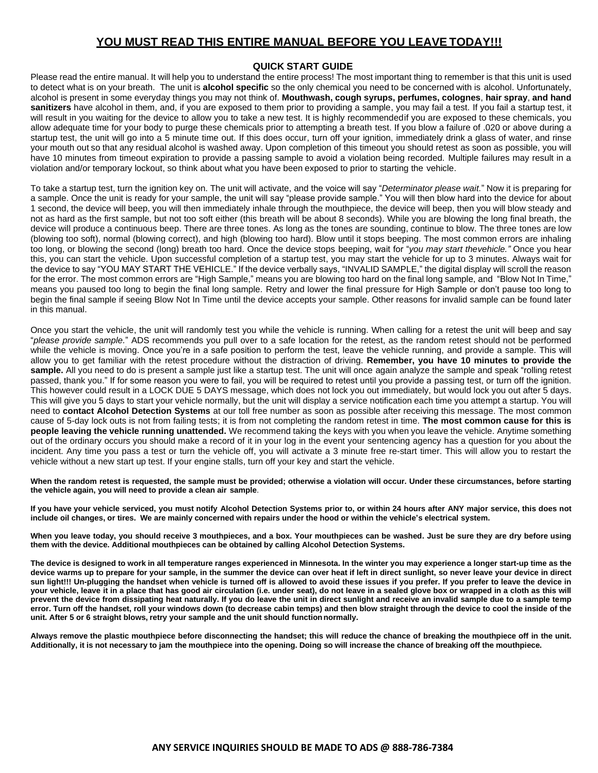## **QUICK START GUIDE**

Please read the entire manual. It will help you to understand the entire process! The most important thing to remember is that this unit is used to detect what is on your breath. The unit is **alcohol specific** so the only chemical you need to be concerned with is alcohol. Unfortunately, alcohol is present in some everyday things you may not think of. **Mouthwash, cough syrups, perfumes, colognes**, **hair spray**, **and hand sanitizers** have alcohol in them, and, if you are exposed to them prior to providing a sample, you may fail a test. If you fail a startup test, it will result in you waiting for the device to allow you to take a new test. It is highly recommendedif you are exposed to these chemicals, you allow adequate time for your body to purge these chemicals prior to attempting a breath test. If you blow a failure of .020 or above during a startup test, the unit will go into a 5 minute time out. If this does occur, turn off your ignition, immediately drink a glass of water, and rinse your mouth out so that any residual alcohol is washed away. Upon completion of this timeout you should retest as soon as possible, you will have 10 minutes from timeout expiration to provide a passing sample to avoid a violation being recorded. Multiple failures may result in a violation and/or temporary lockout, so think about what you have been exposed to prior to starting the vehicle.

To take a startup test, turn the ignition key on. The unit will activate, and the voice will say "*Determinator please wait.*" Now it is preparing for a sample. Once the unit is ready for your sample, the unit will say "please provide sample." You will then blow hard into the device for about 1 second, the device will beep, you will then immediately inhale through the mouthpiece, the device will beep, then you will blow steady and not as hard as the first sample, but not too soft either (this breath will be about 8 seconds). While you are blowing the long final breath, the device will produce a continuous beep. There are three tones. As long as the tones are sounding, continue to blow. The three tones are low (blowing too soft), normal (blowing correct), and high (blowing too hard). Blow until it stops beeping. The most common errors are inhaling too long, or blowing the second (long) breath too hard. Once the device stops beeping, wait for "*you may start thevehicle."* Once you hear this, you can start the vehicle. Upon successful completion of a startup test, you may start the vehicle for up to 3 minutes. Always wait for the device to say "YOU MAY START THE VEHICLE." If the device verbally says, "INVALID SAMPLE," the digital display will scroll the reason for the error. The most common errors are "High Sample," means you are blowing too hard on the final long sample, and "Blow Not In Time," means you paused too long to begin the final long sample. Retry and lower the final pressure for High Sample or don't pause too long to begin the final sample if seeing Blow Not In Time until the device accepts your sample. Other reasons for invalid sample can be found later in this manual.

Once you start the vehicle, the unit will randomly test you while the vehicle is running. When calling for a retest the unit will beep and say "*please provide sample.*" ADS recommends you pull over to a safe location for the retest, as the random retest should not be performed while the vehicle is moving. Once you're in a safe position to perform the test, leave the vehicle running, and provide a sample. This will allow you to get familiar with the retest procedure without the distraction of driving. **Remember, you have 10 minutes to provide the**  sample. All you need to do is present a sample just like a startup test. The unit will once again analyze the sample and speak "rolling retest passed, thank you." If for some reason you were to fail, you will be required to retest until you provide a passing test, or turn off the ignition. This however could result in a LOCK DUE 5 DAYS message, which does not lock you out immediately, but would lock you out after 5 days. This will give you 5 days to start your vehicle normally, but the unit will display a service notification each time you attempt a startup. You will need to **contact Alcohol Detection Systems** at our toll free number as soon as possible after receiving this message. The most common cause of 5-day lock outs is not from failing tests; it is from not completing the random retest in time. **The most common cause for this is people leaving the vehicle running unattended.** We recommend taking the keys with you when you leave the vehicle. Anytime something out of the ordinary occurs you should make a record of it in your log in the event your sentencing agency has a question for you about the incident. Any time you pass a test or turn the vehicle off, you will activate a 3 minute free re-start timer. This will allow you to restart the vehicle without a new start up test. If your engine stalls, turn off your key and start the vehicle.

**When the random retest is requested, the sample must be provided; otherwise a violation will occur. Under these circumstances, before starting the vehicle again, you will need to provide a clean air sample**.

If you have your vehicle serviced, you must notify Alcohol Detection Systems prior to, or within 24 hours after ANY major service, this does not include oil changes, or tires. We are mainly concerned with repairs under the hood or within the vehicle's electrical system.

**When you leave today, you should receive 3 mouthpieces, and a box. Your mouthpieces can be washed. Just be sure they are dry before using them with the device. Additional mouthpieces can be obtained by calling Alcohol Detection Systems.**

**The device is designed to work in all temperature ranges experienced in Minnesota. In the winter you may experience a longer start-up time as the device warms up to prepare for your sample, in the summer the device can over heat if left in direct sunlight, so never leave your device in direct sun light!!! Un-plugging the handset when vehicle is turned off is allowed to avoid these issues if you prefer. If you prefer to leave the device in your vehicle, leave it in a place that has good air circulation (i.e. under seat), do not leave in a sealed glove box or wrapped in a cloth as this will prevent the device from dissipating heat naturally. If you do leave the unit in direct sunlight and receive an invalid sample due to a sample temp error. Turn off the handset, roll your windows down (to decrease cabin temps) and then blow straight through the device to cool the inside of the unit. After 5 or 6 straight blows, retry your sample and the unit should functionnormally.**

Always remove the plastic mouthpiece before disconnecting the handset; this will reduce the chance of breaking the mouthpiece off in the unit. Additionally, it is not necessary to jam the mouthpiece into the opening. Doing so will increase the chance of breaking off the mouthpiece.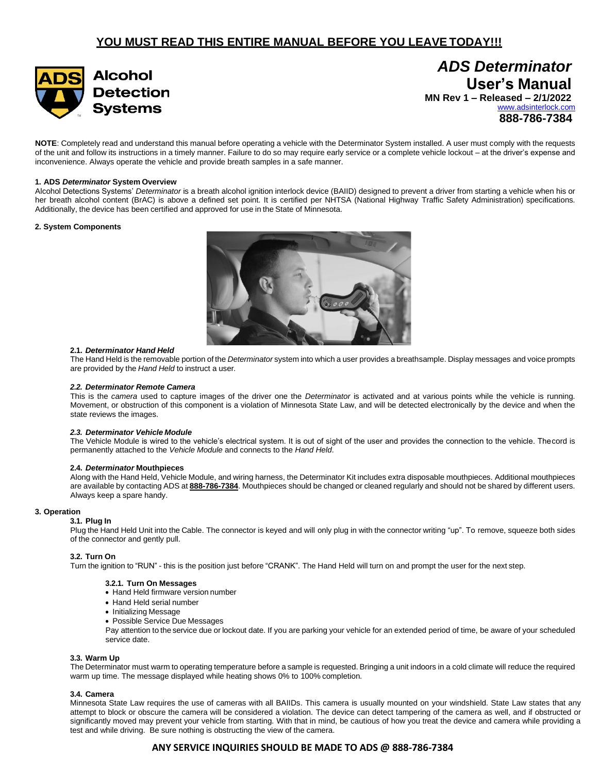

**User's Manual MN Rev 1 – Released – 2/1/2022** [www.adsinterlock.com](http://www.adsinterlock.com/) **888-786-7384**

*ADS Determinator*

**NOTE**: Completely read and understand this manual before operating a vehicle with the Determinator System installed. A user must comply with the requests of the unit and follow its instructions in a timely manner. Failure to do so may require early service or a complete vehicle lockout – at the driver's expense and inconvenience. Always operate the vehicle and provide breath samples in a safe manner.

## **1. ADS** *Determinator* **System Overview**

Alcohol Detections Systems' *Determinator* is a breath alcohol ignition interlock device (BAIID) designed to prevent a driver from starting a vehicle when his or her breath alcohol content (BrAC) is above a defined set point. It is certified per NHTSA (National Highway Traffic Safety Administration) specifications. Additionally, the device has been certified and approved for use in the State of Minnesota.

### **2. System Components**



#### **2.1.** *Determinator Hand Held*

The Hand Held is the removable portion of the *Determinator* system into which a user provides a breathsample. Display messages and voice prompts are provided by the *Hand Held* to instruct a user*.*

#### *2.2. Determinator Remote Camera*

This is the *camera* used to capture images of the driver one the *Determinator* is activated and at various points while the vehicle is running. Movement, or obstruction of this component is a violation of Minnesota State Law, and will be detected electronically by the device and when the state reviews the images.

### *2.3. Determinator Vehicle Module*

The Vehicle Module is wired to the vehicle's electrical system. It is out of sight of the user and provides the connection to the vehicle. Thecord is permanently attached to the *Vehicle Module* and connects to the *Hand Held*.

#### **2.4.** *Determinator* **Mouthpieces**

Along with the Hand Held, Vehicle Module, and wiring harness, the Determinator Kit includes extra disposable mouthpieces. Additional mouthpieces are available by contacting ADS at **888-786-7384**. Mouthpieces should be changed or cleaned regularly and should not be shared by different users. Always keep a spare handy.

### **3. Operation**

### **3.1. Plug In**

Plug the Hand Held Unit into the Cable. The connector is keyed and will only plug in with the connector writing "up". To remove, squeeze both sides of the connector and gently pull.

### **3.2. Turn On**

Turn the ignition to "RUN" - this is the position just before "CRANK". The Hand Held will turn on and prompt the user for the next step.

#### **3.2.1. Turn On Messages**

- Hand Held firmware version number
- Hand Held serial number
- Initializing Message
- Possible Service Due Messages

Pay attention to the service due or lockout date. If you are parking your vehicle for an extended period of time, be aware of your scheduled service date.

### **3.3. Warm Up**

The Determinator must warm to operating temperature before a sample is requested. Bringing a unit indoors in a cold climate will reduce the required warm up time. The message displayed while heating shows 0% to 100% completion.

### **3.4. Camera**

Minnesota State Law requires the use of cameras with all BAIIDs. This camera is usually mounted on your windshield. State Law states that any attempt to block or obscure the camera will be considered a violation. The device can detect tampering of the camera as well, and if obstructed or significantly moved may prevent your vehicle from starting. With that in mind, be cautious of how you treat the device and camera while providing a test and while driving. Be sure nothing is obstructing the view of the camera.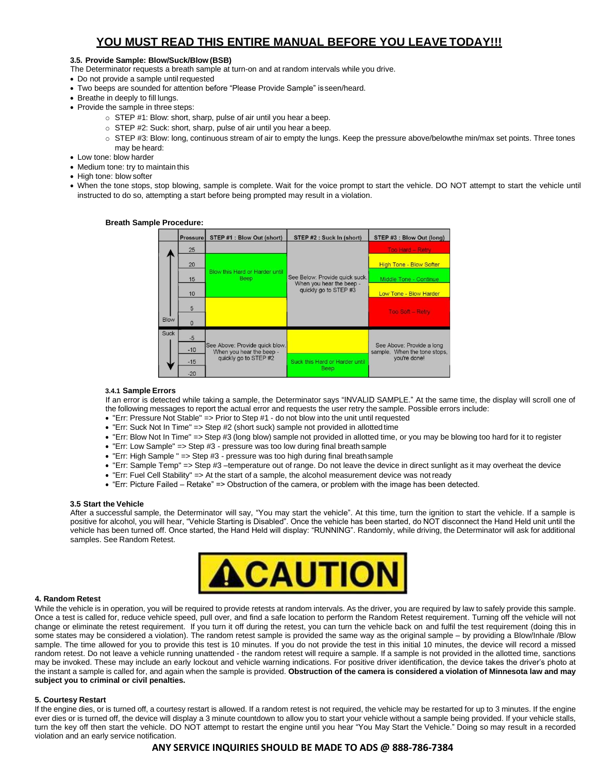## **3.5. Provide Sample: Blow/Suck/Blow (BSB)**

The Determinator requests a breath sample at turn-on and at random intervals while you drive.

- Do not provide a sample until requested
- Two beeps are sounded for attention before "Please Provide Sample" isseen/heard.
- Breathe in deeply to fill lungs.
- Provide the sample in three steps:
	- o STEP #1: Blow: short, sharp, pulse of air until you hear a beep.
	- o STEP #2: Suck: short, sharp, pulse of air until you hear a beep.
	- o STEP #3: Blow: long, continuous stream of air to empty the lungs. Keep the pressure above/belowthe min/max set points. Three tones may be heard:
- Low tone: blow harder
- Medium tone: try to maintain this
- High tone: blow softer
- When the tone stops, stop blowing, sample is complete. Wait for the voice prompt to start the vehicle. DO NOT attempt to start the vehicle until instructed to do so, attempting a start before being prompted may result in a violation.

STEP #1 : Blow Out (short) STEP #3 : Blow Out (long) STEP #2 : Suck In (short) Pressure 25 20 **High Tone - Blow Softer** Blow this Hard or Harder until See Below: Provide quick suck<br>When you hear the beep -Been Middle Tone - Continue 15 quickly go to STEP #3  $10$ Low Tone - Blow Harder 5 Too Soft - Retry **Bloy**  $\Omega$ Suck  $-5$ e Above: Provide quick blow See Above: Provide a long

## **Breath Sample Procedure:**

### **3.4.1 Sample Errors**

 $-10$ 

 $-15$ 

 $-20$ 

If an error is detected while taking a sample, the Determinator says "INVALID SAMPLE." At the same time, the display will scroll one of the following messages to report the actual error and requests the user retry the sample. Possible errors include:

sample. When the tone stops you're done!

• "Err: Pressure Not Stable" => Prior to Step #1 - do not blow into the unit until requested

When you hear the beep<br>quickly go to STEP #2

- "Err: Suck Not In Time" => Step #2 (short suck) sample not provided in allottedtime
- "Err: Blow Not In Time" => Step #3 (long blow) sample not provided in allotted time, or you may be blowing too hard for it to register

Suck this Hard or Harder until Beep

- "Err: Low Sample" => Step #3 pressure was too low during final breath sample
- "Err: High Sample " => Step #3 pressure was too high during final breathsample
- "Err: Sample Temp" => Step #3 –temperature out of range. Do not leave the device in direct sunlight as it may overheat the device
- "Err: Fuel Cell Stability" => At the start of a sample, the alcohol measurement device was not ready
- "Err: Picture Failed Retake" => Obstruction of the camera, or problem with the image has been detected.

### **3.5 Start the Vehicle**

After a successful sample, the Determinator will say, "You may start the vehicle". At this time, turn the ignition to start the vehicle. If a sample is positive for alcohol, you will hear, "Vehicle Starting is Disabled". Once the vehicle has been started, do NOT disconnect the Hand Held unit until the vehicle has been turned off. Once started, the Hand Held will display: "RUNNING". Randomly, while driving, the Determinator will ask for additional samples. See Random Retest.



### **4. Random Retest**

While the vehicle is in operation, you will be required to provide retests at random intervals. As the driver, you are required by law to safely provide this sample. Once a test is called for, reduce vehicle speed, pull over, and find a safe location to perform the Random Retest requirement. Turning off the vehicle will not change or eliminate the retest requirement. If you turn it off during the retest, you can turn the vehicle back on and fulfil the test requirement (doing this in some states may be considered a violation). The random retest sample is provided the same way as the original sample – by providing a Blow/Inhale /Blow sample. The time allowed for you to provide this test is 10 minutes. If you do not provide the test in this initial 10 minutes, the device will record a missed random retest. Do not leave a vehicle running unattended - the random retest will require a sample. If a sample is not provided in the allotted time, sanctions may be invoked. These may include an early lockout and vehicle warning indications. For positive driver identification, the device takes the driver's photo at the instant a sample is called for, and again when the sample is provided. **Obstruction of the camera is considered a violation of Minnesota law and may subject you to criminal or civil penalties.**

### **5. Courtesy Restart**

If the engine dies, or is turned off, a courtesy restart is allowed. If a random retest is not required, the vehicle may be restarted for up to 3 minutes. If the engine ever dies or is turned off, the device will display a 3 minute countdown to allow you to start your vehicle without a sample being provided. If your vehicle stalls, turn the key off then start the vehicle. DO NOT attempt to restart the engine until you hear "You May Start the Vehicle." Doing so may result in a recorded violation and an early service notification.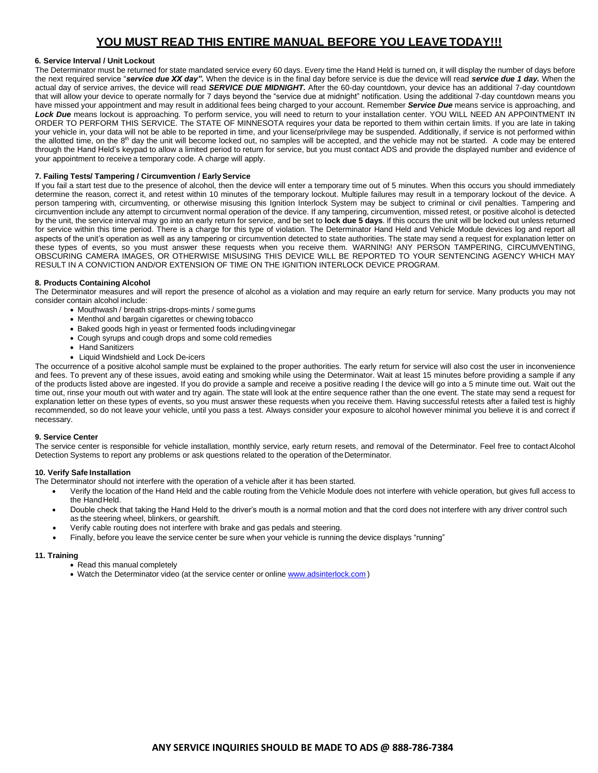## **6. Service Interval / Unit Lockout**

The Determinator must be returned for state mandated service every 60 days. Every time the Hand Held is turned on, it will display the number of days before the next required service "*service due XX day".* When the device is in the final day before service is due the device will read *service due 1 day.* When the actual day of service arrives, the device will read *SERVICE DUE MIDNIGHT.* After the 60-day countdown, your device has an additional 7-day countdown that will allow your device to operate normally for 7 days beyond the "service due at midnight" notification. Using the additional 7-day countdown means you have missed your appointment and may result in additional fees being charged to your account. Remember *Service Due* means service is approaching, and *Lock Due* means lockout is approaching. To perform service, you will need to return to your installation center. YOU WILL NEED AN APPOINTMENT IN ORDER TO PERFORM THIS SERVICE. The STATE OF MINNESOTA requires your data be reported to them within certain limits. If you are late in taking your vehicle in, your data will not be able to be reported in time, and your license/privilege may be suspended. Additionally, if service is not performed within the allotted time, on the 8<sup>th</sup> day the unit will become locked out, no samples will be accepted, and the vehicle may not be started. A code may be entered through the Hand Held's keypad to allow a limited period to return for service, but you must contact ADS and provide the displayed number and evidence of your appointment to receive a temporary code. A charge will apply.

## **7. Failing Tests/ Tampering / Circumvention / EarlyService**

If you fail a start test due to the presence of alcohol, then the device will enter a temporary time out of 5 minutes. When this occurs you should immediately determine the reason, correct it, and retest within 10 minutes of the temporary lockout. Multiple failures may result in a temporary lockout of the device. A person tampering with, circumventing, or otherwise misusing this Ignition Interlock System may be subject to criminal or civil penalties. Tampering and circumvention include any attempt to circumvent normal operation of the device. If any tampering, circumvention, missed retest, or positive alcohol is detected by the unit, the service interval may go into an early return for service, and be set to **lock due 5 days**. If this occurs the unit will be locked out unless returned for service within this time period. There is a charge for this type of violation. The Determinator Hand Held and Vehicle Module devices log and report all aspects of the unit's operation as well as any tampering or circumvention detected to state authorities. The state may send a request for explanation letter on these types of events, so you must answer these requests when you receive them. WARNING! ANY PERSON TAMPERING, CIRCUMVENTING, OBSCURING CAMERA IMAGES, OR OTHERWISE MISUSING THIS DEVICE WILL BE REPORTED TO YOUR SENTENCING AGENCY WHICH MAY RESULT IN A CONVICTION AND/OR EXTENSION OF TIME ON THE IGNITION INTERLOCK DEVICE PROGRAM.

## **8. Products Containing Alcohol**

The Determinator measures and will report the presence of alcohol as a violation and may require an early return for service. Many products you may not consider contain alcohol include:

- Mouthwash / breath strips-drops-mints / somegums
- Menthol and bargain cigarettes or chewing tobacco
- Baked goods high in yeast or fermented foods includingvinegar
- Cough syrups and cough drops and some cold remedies
- Hand Sanitizers
- Liquid Windshield and Lock De-icers

The occurrence of a positive alcohol sample must be explained to the proper authorities. The early return for service will also cost the user in inconvenience and fees. To prevent any of these issues, avoid eating and smoking while using the Determinator. Wait at least 15 minutes before providing a sample if any of the products listed above are ingested. If you do provide a sample and receive a positive reading l the device will go into a 5 minute time out. Wait out the time out, rinse your mouth out with water and try again. The state will look at the entire sequence rather than the one event. The state may send a request for explanation letter on these types of events, so you must answer these requests when you receive them. Having successful retests after a failed test is highly recommended, so do not leave your vehicle, until you pass a test. Always consider your exposure to alcohol however minimal you believe it is and correct if necessary.

## **9. Service Center**

The service center is responsible for vehicle installation, monthly service, early return resets, and removal of the Determinator. Feel free to contact Alcohol Detection Systems to report any problems or ask questions related to the operation of theDeterminator.

## **10. Verify Safe Installation**

The Determinator should not interfere with the operation of a vehicle after it has been started.

- Verify the location of the Hand Held and the cable routing from the Vehicle Module does not interfere with vehicle operation, but gives full access to the Hand Held.
- Double check that taking the Hand Held to the driver's mouth is a normal motion and that the cord does not interfere with any driver control such as the steering wheel, blinkers, or gearshift.
- Verify cable routing does not interfere with brake and gas pedals and steering.
- Finally, before you leave the service center be sure when your vehicle is running the device displays "running"

## **11. Training**

- Read this manual completely
- Watch the Determinator video (at the service center or online [www.adsinterlock.com](http://www.adsinterlock.com/))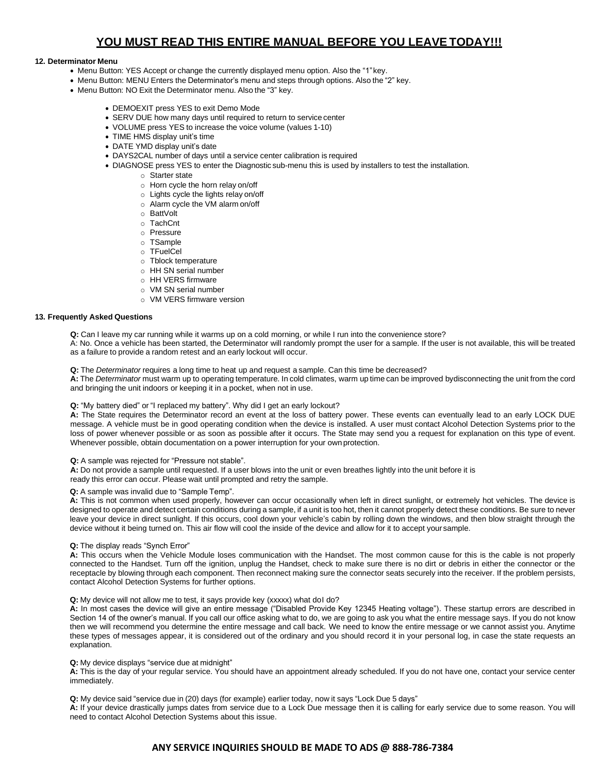## **12. Determinator Menu**

- Menu Button: YES Accept or change the currently displayed menu option. Also the "1"key.
- Menu Button: MENU Enters the Determinator's menu and steps through options. Also the "2" key.
- Menu Button: NO Exit the Determinator menu. Also the "3" key.
	- DEMOEXIT press YES to exit Demo Mode
	- SERV DUE how many days until required to return to service center
	- VOLUME press YES to increase the voice volume (values 1-10)
	- TIME HMS display unit's time
	- DATE YMD display unit's date
	- DAYS2CAL number of days until a service center calibration is required
	- DIAGNOSE press YES to enter the Diagnostic sub-menu this is used by installers to test the installation.
		- o Starter state
		- o Horn cycle the horn relay on/off
		- o Lights cycle the lights relay on/off
		- o Alarm cycle the VM alarm on/off
		- o BattVolt
		- o TachCnt
		- o Pressure
		- o TSample
		- o TFuelCel
		- o Tblock temperature
		- o HH SN serial number
		- o HH VERS firmware
		- o VM SN serial number
		- o VM VERS firmware version

## **13. Frequently Asked Questions**

**Q:** Can I leave my car running while it warms up on a cold morning, or while I run into the convenience store?

A: No. Once a vehicle has been started, the Determinator will randomly prompt the user for a sample. If the user is not available, this will be treated as a failure to provide a random retest and an early lockout will occur.

**Q:** The *Determinator* requires a long time to heat up and request a sample. Can this time be decreased?

**A:** The *Determinator* must warm up to operating temperature. In cold climates, warm up time can be improved bydisconnecting the unit from the cord and bringing the unit indoors or keeping it in a pocket, when not in use.

### **Q:** "My battery died" or "I replaced my battery". Why did I get an early lockout?

**A:** The State requires the Determinator record an event at the loss of battery power. These events can eventually lead to an early LOCK DUE message. A vehicle must be in good operating condition when the device is installed. A user must contact Alcohol Detection Systems prior to the loss of power whenever possible or as soon as possible after it occurs. The State may send you a request for explanation on this type of event. Whenever possible, obtain documentation on a power interruption for your own protection.

### **Q:** A sample was rejected for "Pressure not stable".

**A:** Do not provide a sample until requested. If a user blows into the unit or even breathes lightly into the unit before it is ready this error can occur. Please wait until prompted and retry the sample.

**Q:** A sample was invalid due to "Sample Temp".

**A:** This is not common when used properly, however can occur occasionally when left in direct sunlight, or extremely hot vehicles. The device is designed to operate and detect certain conditions during a sample, if a unit is too hot, then it cannot properly detect these conditions. Be sure to never leave your device in direct sunlight. If this occurs, cool down your vehicle's cabin by rolling down the windows, and then blow straight through the device without it being turned on. This air flow will cool the inside of the device and allow for it to accept your sample.

### **Q:** The display reads "Synch Error"

**A:** This occurs when the Vehicle Module loses communication with the Handset. The most common cause for this is the cable is not properly connected to the Handset. Turn off the ignition, unplug the Handset, check to make sure there is no dirt or debris in either the connector or the receptacle by blowing through each component. Then reconnect making sure the connector seats securely into the receiver. If the problem persists, contact Alcohol Detection Systems for further options.

### **Q:** My device will not allow me to test, it says provide key (xxxxx) what doI do?

**A:** In most cases the device will give an entire message ("Disabled Provide Key 12345 Heating voltage"). These startup errors are described in Section 14 of the owner's manual. If you call our office asking what to do, we are going to ask you what the entire message says. If you do not know then we will recommend you determine the entire message and call back. We need to know the entire message or we cannot assist you. Anytime these types of messages appear, it is considered out of the ordinary and you should record it in your personal log, in case the state requests an explanation.

### **Q:** My device displays "service due at midnight"

**A:** This is the day of your regular service. You should have an appointment already scheduled. If you do not have one, contact your service center immediately.

**Q:** My device said "service due in (20) days (for example) earlier today, now it says "Lock Due 5 days"

**A:** If your device drastically jumps dates from service due to a Lock Due message then it is calling for early service due to some reason. You will need to contact Alcohol Detection Systems about this issue.

## **ANY SERVICE INQUIRIES SHOULD BE MADE TO ADS @ 888-786-7384**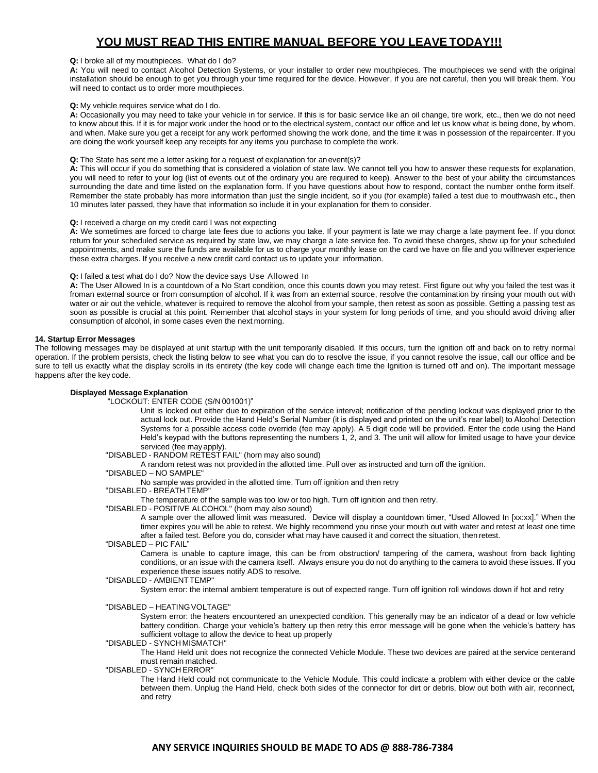### **Q:** I broke all of my mouthpieces. What do I do?

A: You will need to contact Alcohol Detection Systems, or your installer to order new mouthpieces. The mouthpieces we send with the original installation should be enough to get you through your time required for the device. However, if you are not careful, then you will break them. You will need to contact us to order more mouthpieces.

### **Q:** My vehicle requires service what do I do.

**A:** Occasionally you may need to take your vehicle in for service. If this is for basic service like an oil change, tire work, etc., then we do not need to know about this. If it is for major work under the hood or to the electrical system, contact our office and let us know what is being done, by whom, and when. Make sure you get a receipt for any work performed showing the work done, and the time it was in possession of the repaircenter. If you are doing the work yourself keep any receipts for any items you purchase to complete the work.

## **Q:** The State has sent me a letter asking for a request of explanation for anevent(s)?

**A:** This will occur if you do something that is considered a violation of state law. We cannot tell you how to answer these requests for explanation, you will need to refer to your log (list of events out of the ordinary you are required to keep). Answer to the best of your ability the circumstances surrounding the date and time listed on the explanation form. If you have questions about how to respond, contact the number onthe form itself. Remember the state probably has more information than just the single incident, so if you (for example) failed a test due to mouthwash etc., then 10 minutes later passed, they have that information so include it in your explanation for them to consider.

## **Q:** I received a charge on my credit card I was not expecting

**A:** We sometimes are forced to charge late fees due to actions you take. If your payment is late we may charge a late payment fee. If you donot return for your scheduled service as required by state law, we may charge a late service fee. To avoid these charges, show up for your scheduled appointments, and make sure the funds are available for us to charge your monthly lease on the card we have on file and you willnever experience these extra charges. If you receive a new credit card contact us to update your information.

### **Q:** I failed a test what do I do? Now the device says Use Allowed In

**A:** The User Allowed In is a countdown of a No Start condition, once this counts down you may retest. First figure out why you failed the test was it froman external source or from consumption of alcohol. If it was from an external source, resolve the contamination by rinsing your mouth out with water or air out the vehicle, whatever is required to remove the alcohol from your sample, then retest as soon as possible. Getting a passing test as soon as possible is crucial at this point. Remember that alcohol stays in your system for long periods of time, and you should avoid driving after consumption of alcohol, in some cases even the next morning.

#### **14. Startup Error Messages**

The following messages may be displayed at unit startup with the unit temporarily disabled. If this occurs, turn the ignition off and back on to retry normal operation. If the problem persists, check the listing below to see what you can do to resolve the issue, if you cannot resolve the issue, call our office and be sure to tell us exactly what the display scrolls in its entirety (the key code will change each time the Ignition is turned off and on). The important message happens after the key code.

#### **Displayed Message Explanation**

"LOCKOUT: ENTER CODE (S/N 001001)"

Unit is locked out either due to expiration of the service interval; notification of the pending lockout was displayed prior to the actual lock out. Provide the Hand Held's Serial Number (it is displayed and printed on the unit's rear label) to Alcohol Detection Systems for a possible access code override (fee may apply). A 5 digit code will be provided. Enter the code using the Hand Held's keypad with the buttons representing the numbers 1, 2, and 3. The unit will allow for limited usage to have your device serviced (fee may apply).

## "DISABLED - RANDOM RETEST FAIL" (horn may also sound)

A random retest was not provided in the allotted time. Pull over as instructed and turn off the ignition.

## "DISABLED – NO SAMPLE"

No sample was provided in the allotted time. Turn off ignition and then retry

## "DISABLED - BREATH TEMP"

The temperature of the sample was too low or too high. Turn off ignition and then retry.

"DISABLED - POSITIVE ALCOHOL" (horn may also sound)

A sample over the allowed limit was measured. Device will display a countdown timer, "Used Allowed In [xx:xx]." When the timer expires you will be able to retest. We highly recommend you rinse your mouth out with water and retest at least one time after a failed test. Before you do, consider what may have caused it and correct the situation, then retest.

#### "DISABLED – PIC FAIL"

Camera is unable to capture image, this can be from obstruction/ tampering of the camera, washout from back lighting conditions, or an issue with the camera itself. Always ensure you do not do anything to the camera to avoid these issues. If you experience these issues notify ADS to resolve.

## "DISABLED - AMBIENTTEMP"

System error: the internal ambient temperature is out of expected range. Turn off ignition roll windows down if hot and retry

#### "DISABLED – HEATINGVOLTAGE"

System error: the heaters encountered an unexpected condition. This generally may be an indicator of a dead or low vehicle battery condition. Charge your vehicle's battery up then retry this error message will be gone when the vehicle's battery has sufficient voltage to allow the device to heat up properly

### "DISABLED - SYNCH MISMATCH"

The Hand Held unit does not recognize the connected Vehicle Module. These two devices are paired at the service centerand must remain matched.

## "DISABLED - SYNCH ERROR"

The Hand Held could not communicate to the Vehicle Module. This could indicate a problem with either device or the cable between them. Unplug the Hand Held, check both sides of the connector for dirt or debris, blow out both with air, reconnect, and retry